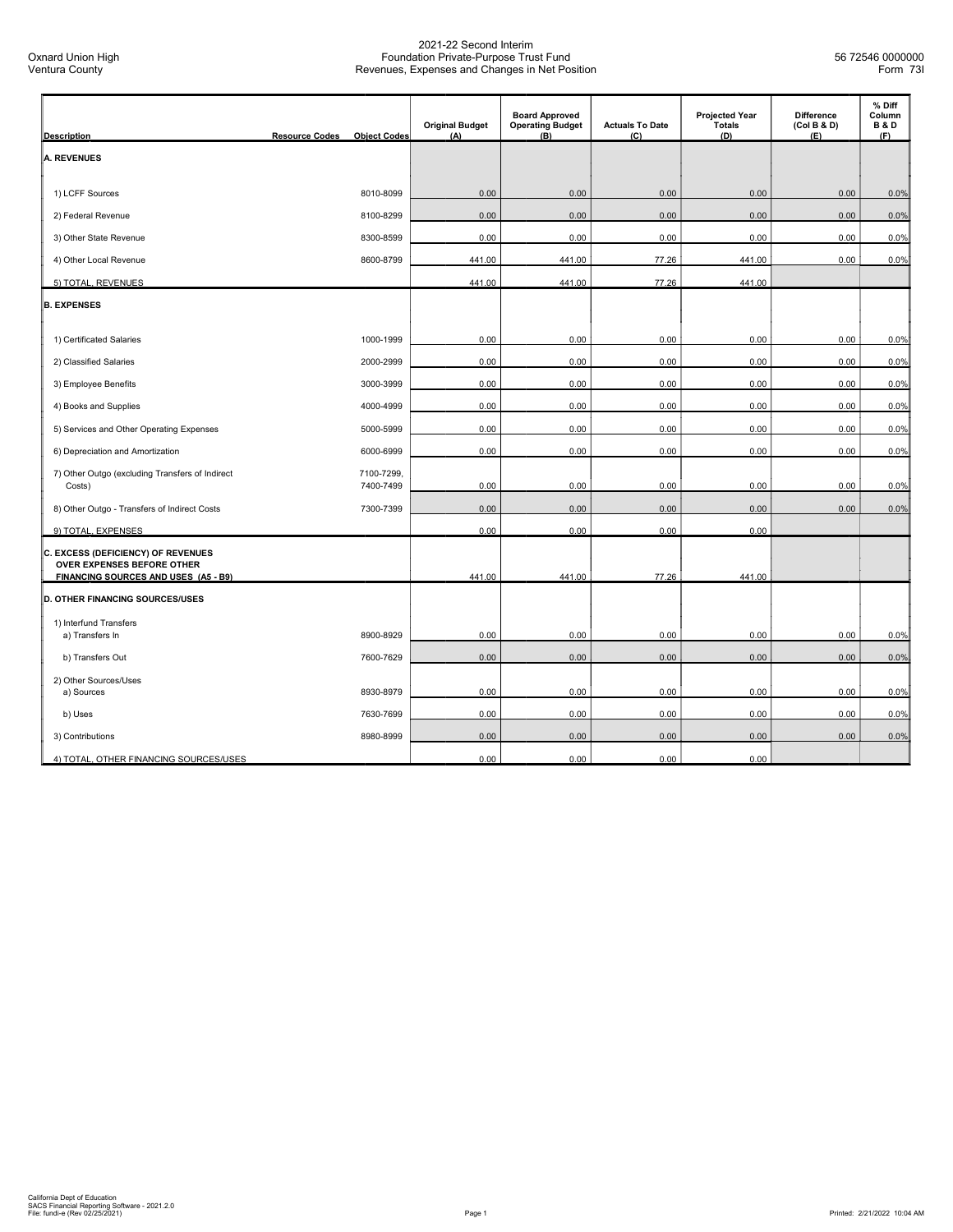| <b>Description</b>                                                             | <b>Resource Codes</b><br><b>Object Codes</b> | <b>Original Budget</b><br>(A) | <b>Board Approved</b><br><b>Operating Budget</b><br>(B) | <b>Actuals To Date</b><br>(C) | <b>Projected Year</b><br><b>Totals</b><br>(D) | <b>Difference</b><br>(Col B & D)<br>(E) | % Diff<br>Column<br><b>B&amp;D</b><br>(F) |
|--------------------------------------------------------------------------------|----------------------------------------------|-------------------------------|---------------------------------------------------------|-------------------------------|-----------------------------------------------|-----------------------------------------|-------------------------------------------|
| <b>A. REVENUES</b>                                                             |                                              |                               |                                                         |                               |                                               |                                         |                                           |
|                                                                                |                                              |                               |                                                         |                               |                                               |                                         |                                           |
| 1) LCFF Sources                                                                | 8010-8099                                    | 0.00                          | 0.00                                                    | 0.00                          | 0.00                                          | 0.00                                    | 0.0%                                      |
| 2) Federal Revenue                                                             | 8100-8299                                    | 0.00                          | 0.00                                                    | 0.00                          | 0.00                                          | 0.00                                    | 0.0%                                      |
| 3) Other State Revenue                                                         | 8300-8599                                    | 0.00                          | 0.00                                                    | 0.00                          | 0.00                                          | 0.00                                    | 0.0%                                      |
| 4) Other Local Revenue                                                         | 8600-8799                                    | 441.00                        | 441.00                                                  | 77.26                         | 441.00                                        | 0.00                                    | 0.0%                                      |
| 5) TOTAL, REVENUES                                                             |                                              | 441.00                        | 441.00                                                  | 77.26                         | 441.00                                        |                                         |                                           |
| <b>B. EXPENSES</b>                                                             |                                              |                               |                                                         |                               |                                               |                                         |                                           |
|                                                                                |                                              |                               |                                                         |                               |                                               |                                         |                                           |
| 1) Certificated Salaries                                                       | 1000-1999                                    | 0.00                          | 0.00                                                    | 0.00                          | 0.00                                          | 0.00                                    | 0.0%                                      |
| 2) Classified Salaries                                                         | 2000-2999                                    | 0.00                          | 0.00                                                    | 0.00                          | 0.00                                          | 0.00                                    | 0.0%                                      |
| 3) Employee Benefits                                                           | 3000-3999                                    | 0.00                          | 0.00                                                    | 0.00                          | 0.00                                          | 0.00                                    | 0.0%                                      |
| 4) Books and Supplies                                                          | 4000-4999                                    | 0.00                          | 0.00                                                    | 0.00                          | 0.00                                          | 0.00                                    | 0.0%                                      |
| 5) Services and Other Operating Expenses                                       | 5000-5999                                    | 0.00                          | 0.00                                                    | 0.00                          | 0.00                                          | 0.00                                    | 0.0%                                      |
| 6) Depreciation and Amortization                                               | 6000-6999                                    | 0.00                          | 0.00                                                    | 0.00                          | 0.00                                          | 0.00                                    | 0.0%                                      |
| 7) Other Outgo (excluding Transfers of Indirect<br>Costs)                      | 7100-7299,<br>7400-7499                      | 0.00                          | 0.00                                                    | 0.00                          | 0.00                                          | 0.00                                    | 0.0%                                      |
| 8) Other Outgo - Transfers of Indirect Costs                                   | 7300-7399                                    | 0.00                          | 0.00                                                    | 0.00                          | 0.00                                          | 0.00                                    | 0.0%                                      |
| 9) TOTAL, EXPENSES                                                             |                                              | 0.00                          | 0.00                                                    | 0.00                          | 0.00                                          |                                         |                                           |
| C. EXCESS (DEFICIENCY) OF REVENUES<br>OVER EXPENSES BEFORE OTHER               |                                              |                               |                                                         |                               |                                               |                                         |                                           |
| FINANCING SOURCES AND USES (A5 - B9)<br><b>D. OTHER FINANCING SOURCES/USES</b> |                                              | 441.00                        | 441.00                                                  | 77.26                         | 441.00                                        |                                         |                                           |
|                                                                                |                                              |                               |                                                         |                               |                                               |                                         |                                           |
| 1) Interfund Transfers<br>a) Transfers In                                      | 8900-8929                                    | 0.00                          | 0.00                                                    | 0.00                          | 0.00                                          | 0.00                                    | 0.0%                                      |
| b) Transfers Out                                                               | 7600-7629                                    | 0.00                          | 0.00                                                    | 0.00                          | 0.00                                          | 0.00                                    | 0.0%                                      |
| 2) Other Sources/Uses                                                          |                                              |                               |                                                         |                               |                                               |                                         |                                           |
| a) Sources                                                                     | 8930-8979                                    | 0.00                          | 0.00                                                    | 0.00                          | 0.00                                          | 0.00                                    | 0.0%                                      |
| b) Uses                                                                        | 7630-7699                                    | 0.00                          | 0.00                                                    | 0.00                          | 0.00                                          | 0.00                                    | 0.0%                                      |
| 3) Contributions                                                               | 8980-8999                                    | 0.00                          | 0.00                                                    | 0.00                          | 0.00                                          | 0.00                                    | 0.0%                                      |
| 4) TOTAL, OTHER FINANCING SOURCES/USES                                         |                                              | 0.00                          | 0.00                                                    | 0.00                          | 0.00                                          |                                         |                                           |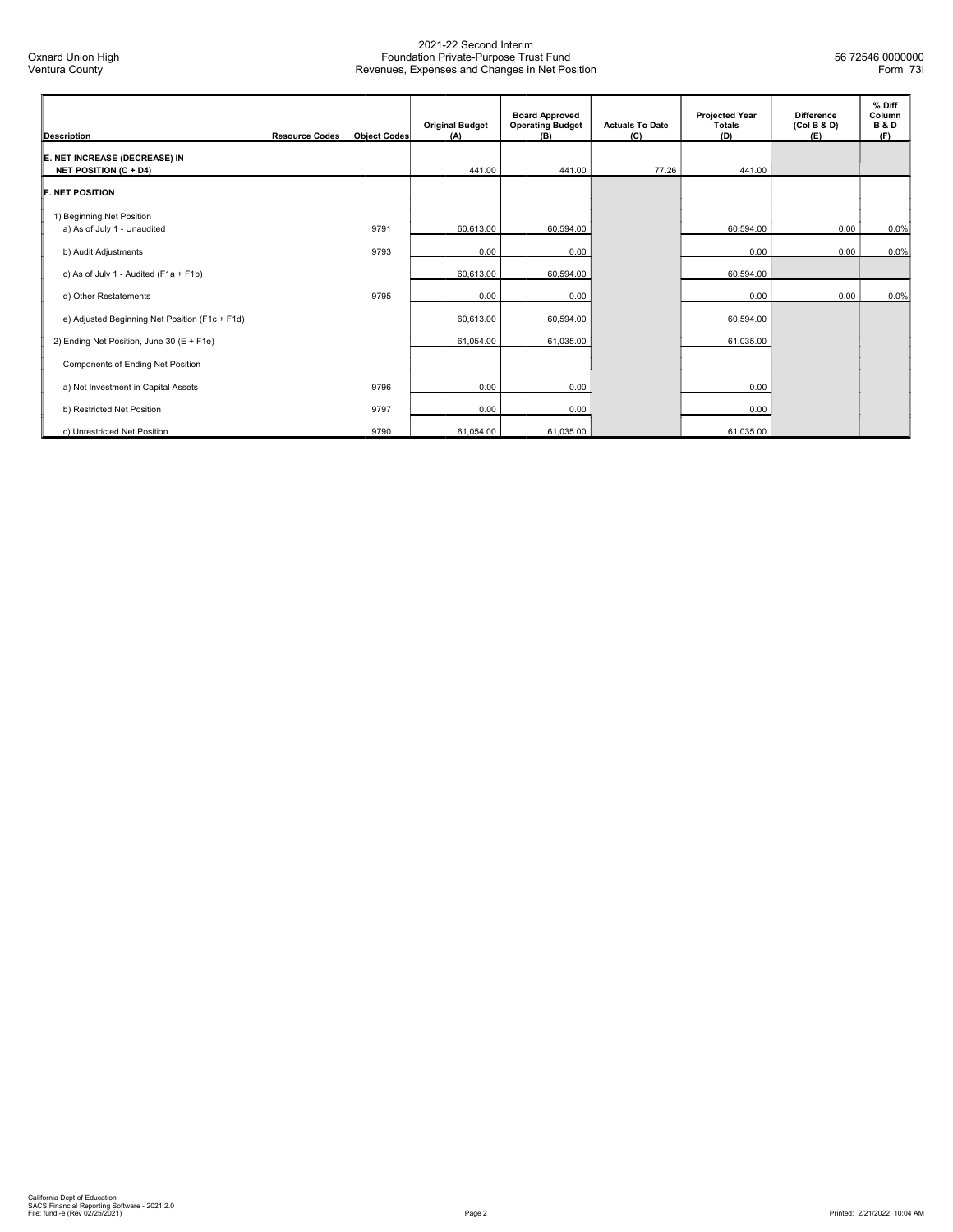| <b>Description</b>                                            | <b>Resource Codes</b> | <b>Object Codes</b> | <b>Original Budget</b><br>(A) | <b>Board Approved</b><br><b>Operating Budget</b><br>(B) | <b>Actuals To Date</b><br>(C) | <b>Projected Year</b><br><b>Totals</b><br>(D) | <b>Difference</b><br>(Col B & D)<br>(E) | % Diff<br>Column<br><b>B&amp;D</b><br>(F) |
|---------------------------------------------------------------|-----------------------|---------------------|-------------------------------|---------------------------------------------------------|-------------------------------|-----------------------------------------------|-----------------------------------------|-------------------------------------------|
| E. NET INCREASE (DECREASE) IN<br><b>NET POSITION (C + D4)</b> |                       |                     | 441.00                        | 441.00                                                  | 77.26                         | 441.00                                        |                                         |                                           |
| <b>F. NET POSITION</b>                                        |                       |                     |                               |                                                         |                               |                                               |                                         |                                           |
| 1) Beginning Net Position<br>a) As of July 1 - Unaudited      |                       | 9791                | 60,613.00                     | 60,594.00                                               |                               | 60,594.00                                     | 0.00                                    | 0.0%                                      |
| b) Audit Adjustments                                          |                       | 9793                | 0.00                          | 0.00                                                    |                               | 0.00                                          | 0.00                                    | 0.0%                                      |
| c) As of July 1 - Audited (F1a + F1b)                         |                       |                     | 60,613.00                     | 60,594.00                                               |                               | 60,594.00                                     |                                         |                                           |
| d) Other Restatements                                         |                       | 9795                | 0.00                          | 0.00                                                    |                               | 0.00                                          | 0.00                                    | 0.0%                                      |
| e) Adjusted Beginning Net Position (F1c + F1d)                |                       |                     | 60,613.00                     | 60,594.00                                               |                               | 60,594.00                                     |                                         |                                           |
| 2) Ending Net Position, June 30 (E + F1e)                     |                       |                     | 61,054.00                     | 61,035.00                                               |                               | 61,035.00                                     |                                         |                                           |
| Components of Ending Net Position                             |                       |                     |                               |                                                         |                               |                                               |                                         |                                           |
| a) Net Investment in Capital Assets                           |                       | 9796                | 0.00                          | 0.00                                                    |                               | 0.00                                          |                                         |                                           |
| b) Restricted Net Position                                    |                       | 9797                | 0.00                          | 0.00                                                    |                               | 0.00                                          |                                         |                                           |
| c) Unrestricted Net Position                                  |                       | 9790                | 61,054.00                     | 61,035.00                                               |                               | 61,035.00                                     |                                         |                                           |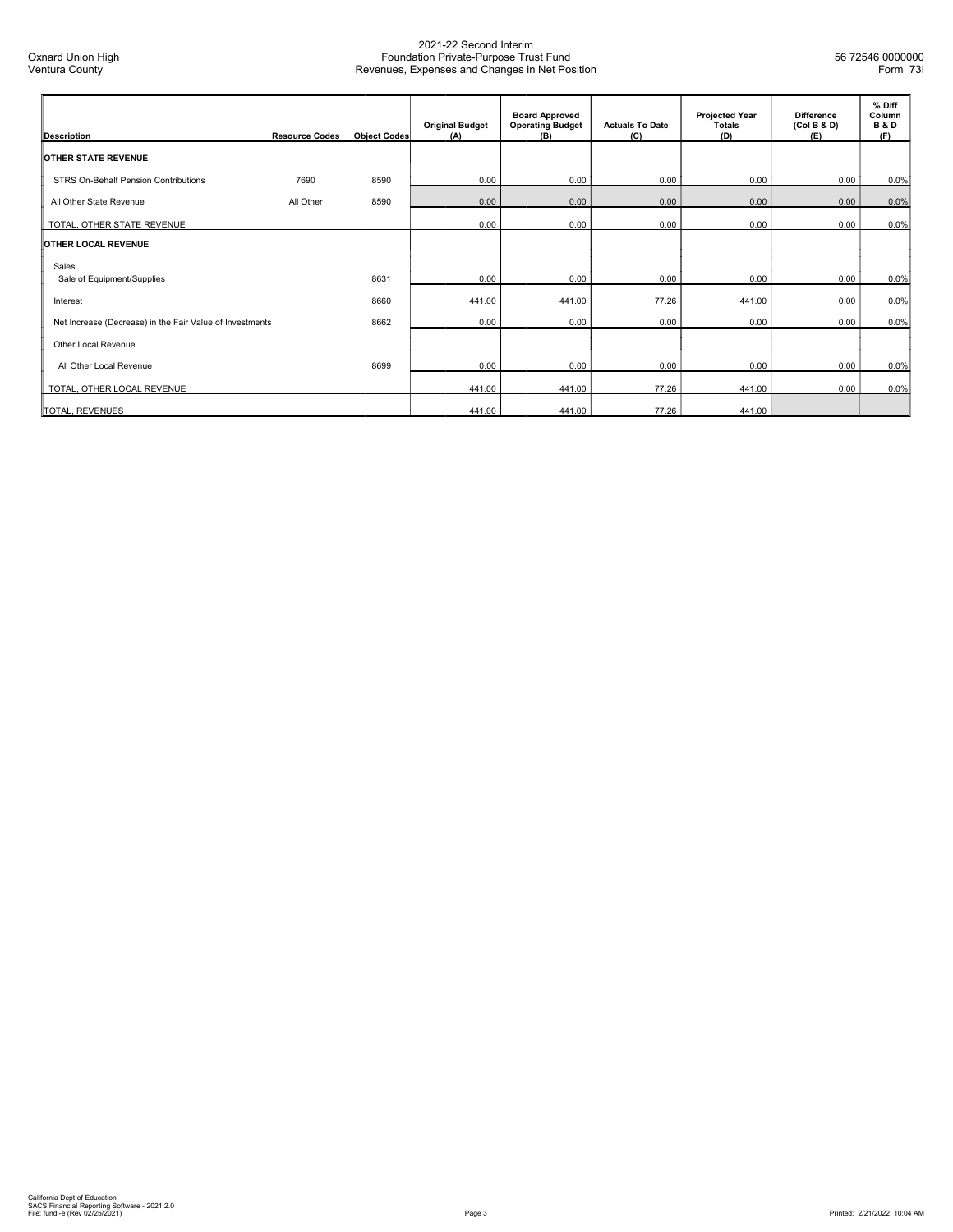| <b>Description</b>                                       | <b>Resource Codes</b> | <b>Object Codes</b> | <b>Original Budget</b><br>(A) | <b>Board Approved</b><br><b>Operating Budget</b><br>(B) | <b>Actuals To Date</b><br>(C) | <b>Projected Year</b><br><b>Totals</b><br>(D) | <b>Difference</b><br>(Col B & D)<br>(E) | % Diff<br>Column<br><b>B&amp;D</b><br>(F) |
|----------------------------------------------------------|-----------------------|---------------------|-------------------------------|---------------------------------------------------------|-------------------------------|-----------------------------------------------|-----------------------------------------|-------------------------------------------|
| <b>OTHER STATE REVENUE</b>                               |                       |                     |                               |                                                         |                               |                                               |                                         |                                           |
| STRS On-Behalf Pension Contributions                     | 7690                  | 8590                | 0.00                          | 0.00                                                    | 0.00                          | 0.00                                          | 0.00                                    | 0.0%                                      |
| All Other State Revenue                                  | All Other             | 8590                | 0.00                          | 0.00                                                    | 0.00                          | 0.00                                          | 0.00                                    | 0.0%                                      |
| TOTAL, OTHER STATE REVENUE                               |                       |                     | 0.00                          | 0.00                                                    | 0.00                          | 0.00                                          | 0.00                                    | 0.0%                                      |
| <b>OTHER LOCAL REVENUE</b>                               |                       |                     |                               |                                                         |                               |                                               |                                         |                                           |
| Sales                                                    |                       |                     |                               |                                                         |                               |                                               |                                         |                                           |
| Sale of Equipment/Supplies                               |                       | 8631                | 0.00                          | 0.00                                                    | 0.00                          | 0.00                                          | 0.00                                    | 0.0%                                      |
| Interest                                                 |                       | 8660                | 441.00                        | 441.00                                                  | 77.26                         | 441.00                                        | 0.00                                    | 0.0%                                      |
| Net Increase (Decrease) in the Fair Value of Investments |                       | 8662                | 0.00                          | 0.00                                                    | 0.00                          | 0.00                                          | 0.00                                    | 0.0%                                      |
| Other Local Revenue                                      |                       |                     |                               |                                                         |                               |                                               |                                         |                                           |
| All Other Local Revenue                                  |                       | 8699                | 0.00                          |                                                         |                               |                                               | 0.00                                    |                                           |
|                                                          |                       |                     |                               | 0.00                                                    | 0.00                          | 0.00                                          |                                         | 0.0%                                      |
| TOTAL, OTHER LOCAL REVENUE                               |                       |                     | 441.00                        | 441.00                                                  | 77.26                         | 441.00                                        | 0.00                                    | 0.0%                                      |
| TOTAL, REVENUES                                          |                       |                     | 441.00                        | 441.00                                                  | 77.26                         | 441.00                                        |                                         |                                           |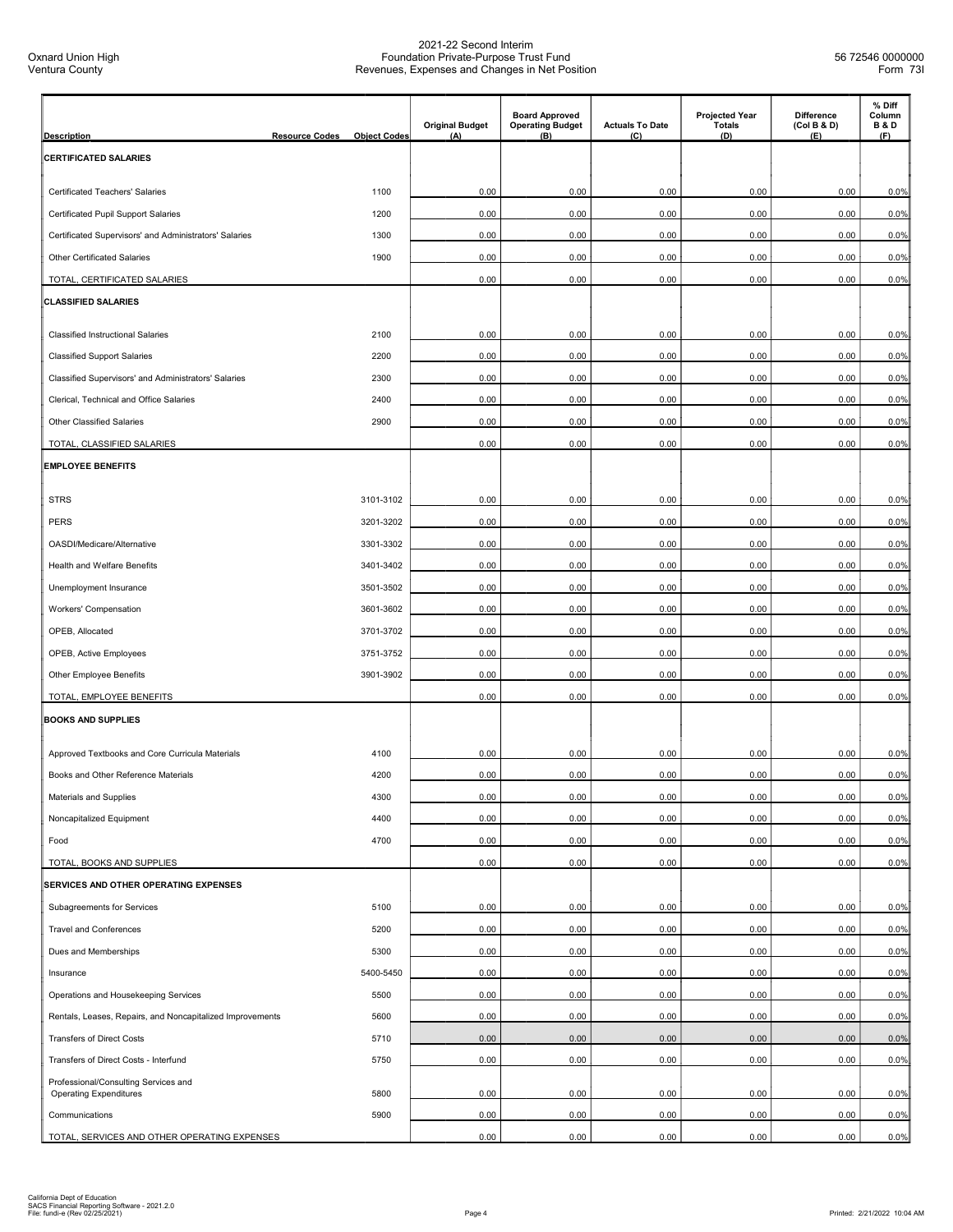| <b>Description</b>                                                    | <b>Resource Codes</b> | <b>Object Codes</b> | <b>Original Budget</b><br>(A) | <b>Board Approved</b><br><b>Operating Budget</b><br>(B) | <b>Actuals To Date</b><br>(C) | <b>Projected Year</b><br><b>Totals</b><br>(D) | <b>Difference</b><br>(Col B & D)<br>(E) | % Diff<br>Column<br><b>B&amp;D</b><br>(F) |
|-----------------------------------------------------------------------|-----------------------|---------------------|-------------------------------|---------------------------------------------------------|-------------------------------|-----------------------------------------------|-----------------------------------------|-------------------------------------------|
| <b>CERTIFICATED SALARIES</b>                                          |                       |                     |                               |                                                         |                               |                                               |                                         |                                           |
| <b>Certificated Teachers' Salaries</b>                                |                       | 1100                | 0.00                          | 0.00                                                    | 0.00                          | 0.00                                          | 0.00                                    | 0.0%                                      |
| Certificated Pupil Support Salaries                                   |                       | 1200                | 0.00                          | 0.00                                                    | 0.00                          | 0.00                                          | 0.00                                    | 0.0%                                      |
| Certificated Supervisors' and Administrators' Salaries                |                       | 1300                | 0.00                          | 0.00                                                    | 0.00                          | 0.00                                          | 0.00                                    | 0.0%                                      |
| Other Certificated Salaries                                           |                       | 1900                | 0.00                          | 0.00                                                    | 0.00                          | 0.00                                          | 0.00                                    | 0.0%                                      |
| TOTAL, CERTIFICATED SALARIES                                          |                       |                     | 0.00                          | 0.00                                                    | 0.00                          | 0.00                                          | 0.00                                    | 0.0%                                      |
| <b>CLASSIFIED SALARIES</b>                                            |                       |                     |                               |                                                         |                               |                                               |                                         |                                           |
|                                                                       |                       |                     |                               |                                                         |                               |                                               |                                         |                                           |
| <b>Classified Instructional Salaries</b>                              |                       | 2100                | 0.00                          | 0.00                                                    | 0.00                          | 0.00                                          | 0.00                                    | 0.0%                                      |
| <b>Classified Support Salaries</b>                                    |                       | 2200                | 0.00                          | 0.00                                                    | 0.00                          | 0.00                                          | 0.00                                    | 0.0%                                      |
| Classified Supervisors' and Administrators' Salaries                  |                       | 2300                | 0.00                          | 0.00                                                    | 0.00                          | 0.00                                          | 0.00                                    | 0.0%                                      |
| Clerical, Technical and Office Salaries                               |                       | 2400                | 0.00                          | 0.00                                                    | 0.00                          | 0.00                                          | 0.00                                    | 0.0%                                      |
| <b>Other Classified Salaries</b>                                      |                       | 2900                | 0.00                          | 0.00                                                    | 0.00                          | 0.00                                          | 0.00                                    | 0.0%                                      |
| TOTAL, CLASSIFIED SALARIES                                            |                       |                     | 0.00                          | 0.00                                                    | 0.00                          | 0.00                                          | 0.00                                    | 0.0%                                      |
| <b>EMPLOYEE BENEFITS</b>                                              |                       |                     |                               |                                                         |                               |                                               |                                         |                                           |
| <b>STRS</b>                                                           |                       | 3101-3102           | 0.00                          | 0.00                                                    | 0.00                          | 0.00                                          | 0.00                                    | 0.0%                                      |
| <b>PERS</b>                                                           |                       | 3201-3202           | 0.00                          | 0.00                                                    | 0.00                          | 0.00                                          | 0.00                                    | 0.0%                                      |
| OASDI/Medicare/Alternative                                            |                       | 3301-3302           | 0.00                          | 0.00                                                    | 0.00                          | 0.00                                          | 0.00                                    | 0.0%                                      |
| Health and Welfare Benefits                                           |                       | 3401-3402           | 0.00                          | 0.00                                                    | 0.00                          | 0.00                                          | 0.00                                    | 0.0%                                      |
| Unemployment Insurance                                                |                       | 3501-3502           | 0.00                          | 0.00                                                    | 0.00                          | 0.00                                          | 0.00                                    | 0.0%                                      |
| Workers' Compensation                                                 |                       | 3601-3602           | 0.00                          | 0.00                                                    | 0.00                          | 0.00                                          | 0.00                                    | 0.0%                                      |
| OPEB, Allocated                                                       |                       | 3701-3702           | 0.00                          | 0.00                                                    | 0.00                          | 0.00                                          | 0.00                                    | 0.0%                                      |
| OPEB, Active Employees                                                |                       | 3751-3752           | 0.00                          | 0.00                                                    | 0.00                          | 0.00                                          | 0.00                                    | 0.0%                                      |
| Other Employee Benefits                                               |                       | 3901-3902           | 0.00                          | 0.00                                                    | 0.00                          | 0.00                                          | 0.00                                    | 0.0%                                      |
| TOTAL, EMPLOYEE BENEFITS                                              |                       |                     | 0.00                          | 0.00                                                    | 0.00                          | 0.00                                          | 0.00                                    | 0.0%                                      |
| <b>BOOKS AND SUPPLIES</b>                                             |                       |                     |                               |                                                         |                               |                                               |                                         |                                           |
| Approved Textbooks and Core Curricula Materials                       |                       | 4100                |                               |                                                         | 0.00                          | 0.00                                          | 0.00                                    |                                           |
|                                                                       |                       | 4200                | 0.00<br>0.00                  | 0.00<br>0.00                                            | 0.00                          | 0.00                                          | 0.00                                    | 0.0%<br>0.0%                              |
| Books and Other Reference Materials                                   |                       |                     |                               |                                                         |                               |                                               |                                         |                                           |
| Materials and Supplies                                                |                       | 4300                | 0.00                          | 0.00                                                    | 0.00                          | 0.00                                          | 0.00                                    | 0.0%                                      |
| Noncapitalized Equipment                                              |                       | 4400                | 0.00                          | 0.00                                                    | 0.00                          | 0.00                                          | 0.00                                    | 0.0%                                      |
| Food                                                                  |                       | 4700                | 0.00                          | 0.00                                                    | 0.00                          | 0.00                                          | 0.00                                    | 0.0%                                      |
| TOTAL, BOOKS AND SUPPLIES<br>SERVICES AND OTHER OPERATING EXPENSES    |                       |                     | 0.00                          | 0.00                                                    | 0.00                          | 0.00                                          | 0.00                                    | 0.0%                                      |
|                                                                       |                       |                     |                               |                                                         |                               |                                               |                                         |                                           |
| Subagreements for Services                                            |                       | 5100                | 0.00                          | 0.00                                                    | 0.00                          | 0.00                                          | 0.00                                    | 0.0%                                      |
| <b>Travel and Conferences</b>                                         |                       | 5200                | 0.00                          | 0.00                                                    | 0.00                          | 0.00                                          | 0.00                                    | 0.0%                                      |
| Dues and Memberships                                                  |                       | 5300                | 0.00                          | 0.00                                                    | 0.00                          | 0.00                                          | 0.00                                    | 0.0%                                      |
| Insurance                                                             |                       | 5400-5450           | 0.00                          | 0.00                                                    | 0.00                          | 0.00                                          | 0.00                                    | 0.0%                                      |
| Operations and Housekeeping Services                                  |                       | 5500                | 0.00                          | 0.00                                                    | 0.00                          | 0.00                                          | 0.00                                    | 0.0%                                      |
| Rentals, Leases, Repairs, and Noncapitalized Improvements             |                       | 5600                | 0.00                          | 0.00                                                    | 0.00                          | 0.00                                          | 0.00                                    | 0.0%                                      |
| <b>Transfers of Direct Costs</b>                                      |                       | 5710                | 0.00                          | 0.00                                                    | 0.00                          | 0.00                                          | 0.00                                    | 0.0%                                      |
| Transfers of Direct Costs - Interfund                                 |                       | 5750                | 0.00                          | 0.00                                                    | 0.00                          | 0.00                                          | 0.00                                    | 0.0%                                      |
| Professional/Consulting Services and<br><b>Operating Expenditures</b> |                       | 5800                | 0.00                          | 0.00                                                    | 0.00                          | 0.00                                          | 0.00                                    | 0.0%                                      |
| Communications                                                        |                       | 5900                | 0.00                          | 0.00                                                    | 0.00                          | 0.00                                          | 0.00                                    | 0.0%                                      |
| TOTAL, SERVICES AND OTHER OPERATING EXPENSES                          |                       |                     | 0.00                          | 0.00                                                    | 0.00                          | 0.00                                          | 0.00                                    | 0.0%                                      |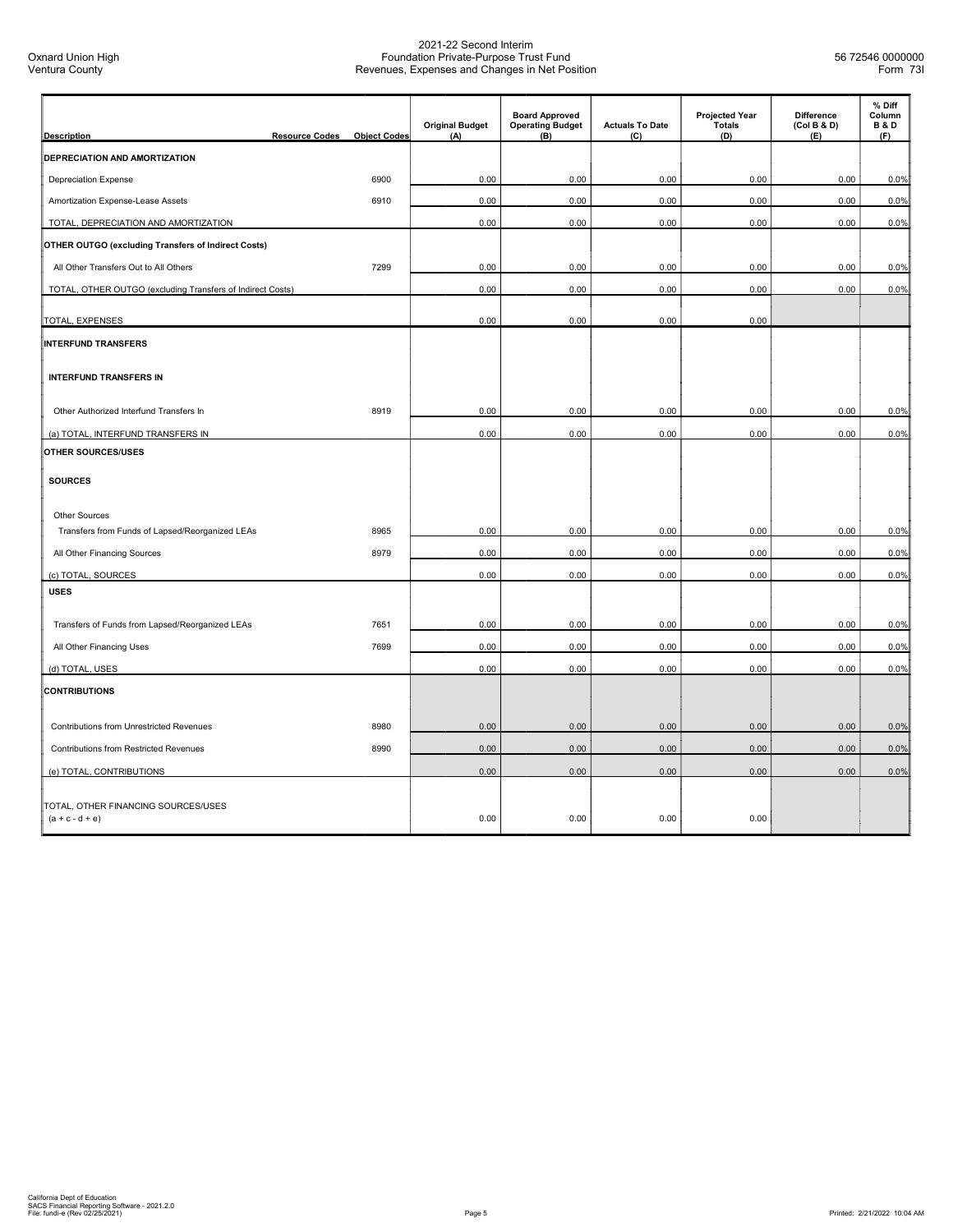| <b>Description</b>                                         | <b>Resource Codes</b> | <b>Object Codes</b> | <b>Original Budget</b><br>(A) | <b>Board Approved</b><br><b>Operating Budget</b><br>(B) | <b>Actuals To Date</b><br>(C) | <b>Projected Year</b><br><b>Totals</b><br>(D) | <b>Difference</b><br>(Col B & D)<br>(E) | % Diff<br>Column<br><b>B&amp;D</b><br>(F) |
|------------------------------------------------------------|-----------------------|---------------------|-------------------------------|---------------------------------------------------------|-------------------------------|-----------------------------------------------|-----------------------------------------|-------------------------------------------|
| DEPRECIATION AND AMORTIZATION                              |                       |                     |                               |                                                         |                               |                                               |                                         |                                           |
| <b>Depreciation Expense</b>                                |                       | 6900                | 0.00                          | 0.00                                                    | 0.00                          | 0.00                                          | 0.00                                    | 0.0%                                      |
| Amortization Expense-Lease Assets                          |                       | 6910                | 0.00                          | 0.00                                                    | 0.00                          | 0.00                                          | 0.00                                    | 0.0%                                      |
| TOTAL, DEPRECIATION AND AMORTIZATION                       |                       |                     | 0.00                          | 0.00                                                    | 0.00                          | 0.00                                          | 0.00                                    | 0.0%                                      |
| <b>OTHER OUTGO (excluding Transfers of Indirect Costs)</b> |                       |                     |                               |                                                         |                               |                                               |                                         |                                           |
| All Other Transfers Out to All Others                      |                       | 7299                | 0.00                          | 0.00                                                    | 0.00                          | 0.00                                          | 0.00                                    | 0.0%                                      |
| TOTAL, OTHER OUTGO (excluding Transfers of Indirect Costs) |                       |                     | 0.00                          | 0.00                                                    | 0.00                          | 0.00                                          | 0.00                                    | 0.0%                                      |
| TOTAL, EXPENSES                                            |                       |                     | 0.00                          | 0.00                                                    | 0.00                          | 0.00                                          |                                         |                                           |
| <b>INTERFUND TRANSFERS</b>                                 |                       |                     |                               |                                                         |                               |                                               |                                         |                                           |
| <b>INTERFUND TRANSFERS IN</b>                              |                       |                     |                               |                                                         |                               |                                               |                                         |                                           |
| Other Authorized Interfund Transfers In                    |                       | 8919                | 0.00                          | 0.00                                                    | 0.00                          | 0.00                                          | 0.00                                    | 0.0%                                      |
| (a) TOTAL, INTERFUND TRANSFERS IN                          |                       |                     | 0.00                          | 0.00                                                    | 0.00                          | 0.00                                          | 0.00                                    | 0.0%                                      |
| OTHER SOURCES/USES                                         |                       |                     |                               |                                                         |                               |                                               |                                         |                                           |
| <b>SOURCES</b>                                             |                       |                     |                               |                                                         |                               |                                               |                                         |                                           |
| Other Sources                                              |                       |                     |                               |                                                         |                               |                                               |                                         |                                           |
| Transfers from Funds of Lapsed/Reorganized LEAs            |                       | 8965                | 0.00                          | 0.00                                                    | 0.00                          | 0.00                                          | 0.00                                    | 0.0%                                      |
| All Other Financing Sources                                |                       | 8979                | 0.00                          | 0.00                                                    | 0.00                          | 0.00                                          | 0.00                                    | 0.0%                                      |
| (c) TOTAL, SOURCES                                         |                       |                     | 0.00                          | 0.00                                                    | 0.00                          | 0.00                                          | 0.00                                    | 0.0%                                      |
| <b>USES</b>                                                |                       |                     |                               |                                                         |                               |                                               |                                         |                                           |
| Transfers of Funds from Lapsed/Reorganized LEAs            |                       | 7651                | 0.00                          | 0.00                                                    | 0.00                          | 0.00                                          | 0.00                                    | 0.0%                                      |
| All Other Financing Uses                                   |                       | 7699                | 0.00                          | 0.00                                                    | 0.00                          | 0.00                                          | 0.00                                    | 0.0%                                      |
| (d) TOTAL, USES                                            |                       |                     | 0.00                          | 0.00                                                    | 0.00                          | 0.00                                          | 0.00                                    | 0.0%                                      |
| <b>CONTRIBUTIONS</b>                                       |                       |                     |                               |                                                         |                               |                                               |                                         |                                           |
| Contributions from Unrestricted Revenues                   |                       | 8980                | 0.00                          | 0.00                                                    | 0.00                          | 0.00                                          | 0.00                                    | 0.0%                                      |
| <b>Contributions from Restricted Revenues</b>              |                       | 8990                | 0.00                          | 0.00                                                    | 0.00                          | 0.00                                          | 0.00                                    | 0.0%                                      |
| (e) TOTAL, CONTRIBUTIONS                                   |                       |                     | 0.00                          | 0.00                                                    | 0.00                          | 0.00                                          | 0.00                                    | 0.0%                                      |
| TOTAL, OTHER FINANCING SOURCES/USES<br>$(a + c - d + e)$   |                       |                     | 0.00                          | 0.00                                                    | 0.00                          | 0.00                                          |                                         |                                           |